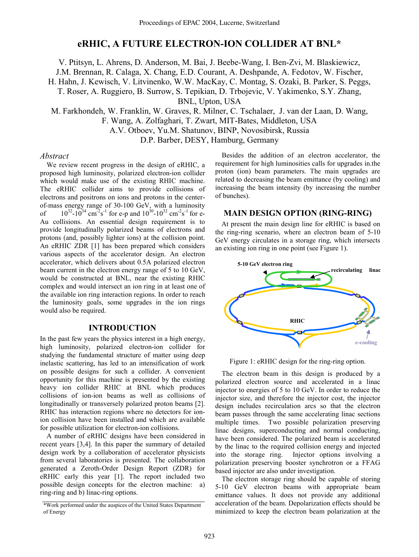# **eRHIC, A FUTURE ELECTRON-ION COLLIDER AT BNL\***

V. Ptitsyn, L. Ahrens, D. Anderson, M. Bai, J. Beebe-Wang, I. Ben-Zvi, M. Blaskiewicz,

J.M. Brennan, R. Calaga, X. Chang, E.D. Courant, A. Deshpande, A. Fedotov, W. Fischer,

H. Hahn, J. Kewisch, V. Litvinenko, W.W. MacKay, C. Montag, S. Ozaki, B. Parker, S. Peggs,

T. Roser, A. Ruggiero, B. Surrow, S. Tepikian, D. Trbojevic, V. Yakimenko, S.Y. Zhang,

BNL, Upton, USA

M. Farkhondeh, W. Franklin, W. Graves, R. Milner, C. Tschalaer, J. van der Laan, D. Wang,

F. Wang, A. Zolfaghari, T. Zwart, MIT-Bates, Middleton, USA

A.V. Otboev, Yu.M. Shatunov, BINP, Novosibirsk, Russia

D.P. Barber, DESY, Hamburg, Germany

#### *Abstract*

We review recent progress in the design of eRHIC, a proposed high luminosity, polarized electron-ion collider which would make use of the existing RHIC machine. The eRHIC collider aims to provide collisions of electrons and positrons on ions and protons in the centerof-mass energy range of 30-100 GeV, with a luminosity of  $10^{32}$ -10<sup>34</sup> cm<sup>-2</sup>s<sup>-1</sup> for e-p and  $10^{30}$ -10<sup>32</sup> cm<sup>-2</sup>s<sup>-1</sup> for e-Au collisions. An essential design requirement is to provide longitudinally polarized beams of electrons and protons (and, possibly lighter ions) at the collision point. An eRHIC ZDR [1] has been prepared which considers various aspects of the accelerator design. An electron accelerator, which delivers about 0.5A polarized electron beam current in the electron energy range of 5 to 10 GeV, would be constructed at BNL, near the existing RHIC complex and would intersect an ion ring in at least one of the available ion ring interaction regions. In order to reach the luminosity goals, some upgrades in the ion rings would also be required.

## **INTRODUCTION**

In the past few years the physics interest in a high energy, high luminosity, polarized electron-ion collider for studying the fundamental structure of matter using deep inelastic scattering, has led to an intensification of work on possible designs for such a collider. A convenient opportunity for this machine is presented by the existing heavy ion collider RHIC at BNL which produces collisions of ion-ion beams as well as collisions of longitudinally or transversely polarized proton beams [2]. RHIC has interaction regions where no detectors for ionion collision have been installed and which are available for possible utilization for electron-ion collisions.

A number of eRHIC designs have been considered in recent years [3,4]. In this paper the summary of detailed design work by a collaboration of accelerator physicists from several laboratories is presented. The collaboration generated a Zeroth-Order Design Report (ZDR) for eRHIC early this year [1]. The report included two possible design concepts for the electron machine: a) ring-ring and b) linac-ring options.

Besides the addition of an electron accelerator, the requirement for high luminosities calls for upgrades in.the proton (ion) beam parameters. The main upgrades are related to decreasing the beam emittance (by cooling) and increasing the beam intensity (by increasing the number of bunches).

# **MAIN DESIGN OPTION (RING-RING)**

At present the main design line for eRHIC is based on the ring-ring scenario, where an electron beam of 5-10 GeV energy circulates in a storage ring, which intersects an existing ion ring in one point (see Figure 1).



Figure 1: eRHIC design for the ring-ring option.

The electron beam in this design is produced by a polarized electron source and accelerated in a linac injector to energies of 5 to 10 GeV. In order to reduce the injector size, and therefore the injector cost, the injector design includes recirculation arcs so that the electron beam passes through the same accelerating linac sections multiple times. Two possible polarization preserving linac designs, superconducting and normal conducting, have been considered. The polarized beam is accelerated by the linac to the required collision energy and injected into the storage ring. Injector options involving a polarization preserving booster synchrotron or a FFAG based injector are also under investigation.

The electron storage ring should be capable of storing 5-10 GeV electron beams with appropriate beam emittance values. It does not provide any additional acceleration of the beam. Depolarization effects should be minimized to keep the electron beam polarization at the

 \*Work performed under the auspices of the United States Department of Energy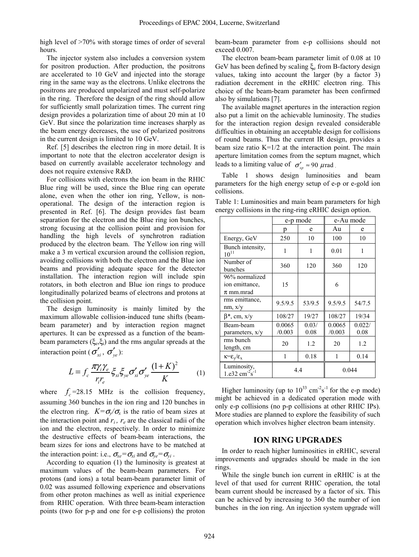high level of  $>70\%$  with storage times of order of several hours.

The injector system also includes a conversion system for positron production. After production, the positrons are accelerated to 10 GeV and injected into the storage ring in the same way as the electrons. Unlike electrons the positrons are produced unpolarized and must self-polarize in the ring. Therefore the design of the ring should allow for sufficiently small polarization times. The current ring design provides a polarization time of about 20 min at 10 GeV. But since the polarization time increases sharply as the beam energy decreases, the use of polarized positrons in the current design is limited to 10 GeV.

Ref. [5] describes the electron ring in more detail. It is important to note that the electron accelerator design is based on currently available accelerator technology and does not require extensive R&D.

For collisions with electrons the ion beam in the RHIC Blue ring will be used, since the Blue ring can operate alone, even when the other ion ring, Yellow, is nonoperational. The design of the interaction region is presented in Ref. [6]. The design provides fast beam separation for the electron and the Blue ring ion bunches, strong focusing at the collision point and provision for handling the high levels of synchrotron radiation produced by the electron beam. The Yellow ion ring will make a 3 m vertical excursion around the collision region, avoiding collisions with both the electron and the Blue ion beams and providing adequate space for the detector installation. The interaction region will include spin rotators, in both electron and Blue ion rings to produce longitudinally polarized beams of electrons and protons at the collision point.

The design luminosity is mainly limited by the maximum allowable collision-induced tune shifts (beambeam parameter) and by interaction region magnet apertures. It can be expressed as a function of the beambeam parameters (ξe,ξi) and the rms angular spreads at the interaction point ( $\sigma'_{xi}$ ,  $\sigma'_{ye}$ ):

$$
L = f_c \frac{\pi \gamma_i \gamma_e}{r_i r_e} \xi_{xi} \xi_{ye} \sigma'_{xi} \sigma'_{ye} \frac{(1+K)^2}{K}
$$
 (1)

where  $f_c$ =28.15 MHz is the collision frequency, assuming 360 bunches in the ion ring and 120 bunches in the electron ring.  $K = \sigma_v / \sigma_x$  is the ratio of beam sizes at the interaction point and  $r_i$ ,  $r_e$  are the classical radii of the ion and the electron, respectively. In order to minimize the destructive effects of beam-beam interactions, the beam sizes for ions and electrons have to be matched at the interaction point: i.e.,  $\sigma_{xe} = \sigma_{x_i}$  and  $\sigma_{ye} = \sigma_{y_i}$ .

According to equation (1) the luminosity is greatest at maximum values of the beam-beam parameters. For protons (and ions) a total beam-beam parameter limit of 0.02 was assumed following experience and observations from other proton machines as well as initial experience from RHIC operation. With three beam-beam interaction points (two for p-p and one for e-p collisions) the proton

beam-beam parameter from e-p collisions should not exceed 0.007.

The electron beam-beam parameter limit of 0.08 at 10 GeV has been defined by scaling  $\xi_e$  from B-factory design values, taking into account the larger (by a factor 3) radiation decrement in the eRHIC electron ring. This choice of the beam-beam parameter has been confirmed also by simulations [7].

The available magnet apertures in the interaction region also put a limit on the achievable luminosity. The studies for the interaction region design revealed considerable difficulties in obtaining an acceptable design for collisions of round beams. Thus the current IR design, provides a beam size ratio  $K=1/2$  at the interaction point. The main aperture limitation comes from the septum magnet, which leads to a limiting value of  $\sigma'_{xp} \approx 90 \ \mu$  rad.

Table 1 shows design luminosities and beam parameters for the high energy setup of e-p or e-gold ion collisions.

Table 1: Luminosities and main beam parameters for high energy collisions in the ring-ring eRHIC design option.

|                                                       | e-p mode         |               | e-Au mode        |                |
|-------------------------------------------------------|------------------|---------------|------------------|----------------|
|                                                       | р                | e             | Au               | e              |
| Energy, GeV                                           | 250              | 10            | 100              | 10             |
| Bunch intensity,<br>$10^{11}$                         | 1                | 1             | 0.01             | 1              |
| Number of<br>bunches                                  | 360              | 120           | 360              | 120            |
| 96% normalized<br>ion emittance,<br>$\pi$ mm.mrad     | 15               |               | 6                |                |
| rms emittance,<br>nm, x/y                             | 9.5/9.5          | 53/9.5        | 9.5/9.5          | 54/7.5         |
| $\beta^*$ , cm, x/y                                   | 108/27           | 19/27         | 108/27           | 19/34          |
| Beam-beam<br>parameters, $x/y$                        | 0.0065<br>/0.003 | 0.03/<br>0.08 | 0.0065<br>/0.003 | 0.022/<br>0.08 |
| rms bunch<br>length, cm                               | 20               | 1.2           | 20               | 1.2            |
| $K = \varepsilon_v / \varepsilon_x$                   | 1                | 0.18          | 1                | 0.14           |
| Luminosity,<br>1.e32 cm <sup>-2</sup> s <sup>-1</sup> | 4.4              |               | 0.044            |                |

Higher luminosity (up to  $10^{33}$  cm<sup>-2</sup>s<sup>-1</sup> for the e-p mode) might be achieved in a dedicated operation mode with only e-p collisions (no p-p collisions at other RHIC IPs). More studies are planned to explore the feasibility of such operation which involves higher electron beam intensity.

#### **ION RING UPGRADES**

In order to reach higher luminosities in eRHIC, several improvements and upgrades should be made in the ion rings.

While the single bunch ion current in eRHIC is at the level of that used for current RHIC operation, the total beam current should be increased by a factor of six. This can be achieved by increasing to 360 the number of ion bunches in the ion ring. An injection system upgrade will